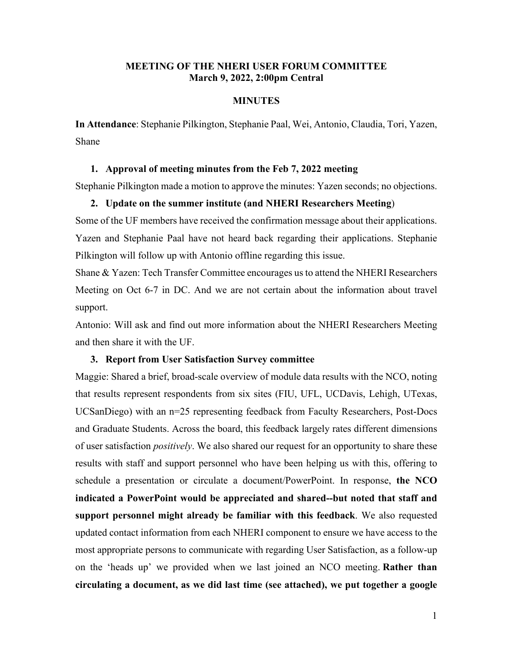## **MEETING OF THE NHERI USER FORUM COMMITTEE March 9, 2022, 2:00pm Central**

## **MINUTES**

**In Attendance**: Stephanie Pilkington, Stephanie Paal, Wei, Antonio, Claudia, Tori, Yazen, Shane

### **1. Approval of meeting minutes from the Feb 7, 2022 meeting**

Stephanie Pilkington made a motion to approve the minutes: Yazen seconds; no objections.

## **2. Update on the summer institute (and NHERI Researchers Meeting**)

Some of the UF members have received the confirmation message about their applications. Yazen and Stephanie Paal have not heard back regarding their applications. Stephanie Pilkington will follow up with Antonio offline regarding this issue.

Shane & Yazen: Tech Transfer Committee encourages us to attend the NHERI Researchers Meeting on Oct 6-7 in DC. And we are not certain about the information about travel support.

Antonio: Will ask and find out more information about the NHERI Researchers Meeting and then share it with the UF.

### **3. Report from User Satisfaction Survey committee**

Maggie: Shared a brief, broad-scale overview of module data results with the NCO, noting that results represent respondents from six sites (FIU, UFL, UCDavis, Lehigh, UTexas, UCSanDiego) with an n=25 representing feedback from Faculty Researchers, Post-Docs and Graduate Students. Across the board, this feedback largely rates different dimensions of user satisfaction *positively*. We also shared our request for an opportunity to share these results with staff and support personnel who have been helping us with this, offering to schedule a presentation or circulate a document/PowerPoint. In response, **the NCO indicated a PowerPoint would be appreciated and shared--but noted that staff and support personnel might already be familiar with this feedback**. We also requested updated contact information from each NHERI component to ensure we have access to the most appropriate persons to communicate with regarding User Satisfaction, as a follow-up on the 'heads up' we provided when we last joined an NCO meeting. **Rather than circulating a document, as we did last time (see attached), we put together a google**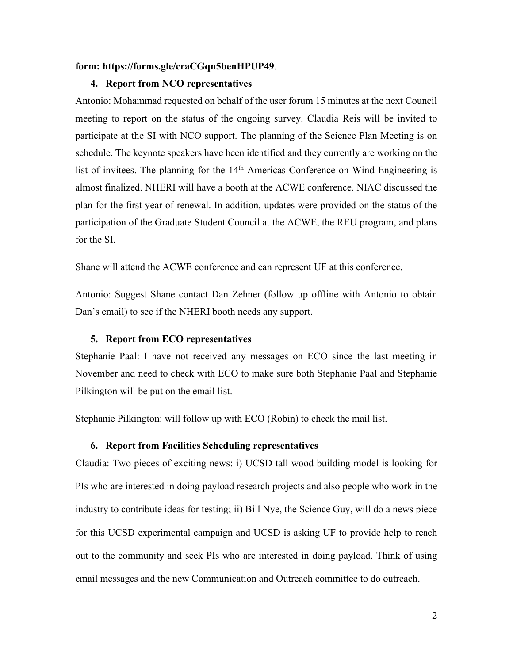#### **form: [https://forms.gle/craCGqn5benHPUP49](https://nam11.safelinks.protection.outlook.com/?url=https%3A%2F%2Fforms.gle%2FcraCGqn5benHPUP49&data=04%7C01%7Cwsong%40eng.ua.edu%7C96c9a7cbb6b54a15e4ad08da01f5b9e6%7C2a00728ef0d040b4a4e8ce433f3fbca7%7C0%7C0%7C637824452291453655%7CUnknown%7CTWFpbGZsb3d8eyJWIjoiMC4wLjAwMDAiLCJQIjoiV2luMzIiLCJBTiI6Ik1haWwiLCJXVCI6Mn0%3D%7C3000&sdata=GVzBbefMprAH1bWHfjAcXdGpM5NkhvTUpW4rOOawU0Y%3D&reserved=0)**.

## **4. Report from NCO representatives**

Antonio: Mohammad requested on behalf of the user forum 15 minutes at the next Council meeting to report on the status of the ongoing survey. Claudia Reis will be invited to participate at the SI with NCO support. The planning of the Science Plan Meeting is on schedule. The keynote speakers have been identified and they currently are working on the list of invitees. The planning for the 14<sup>th</sup> Americas Conference on Wind Engineering is almost finalized. NHERI will have a booth at the ACWE conference. NIAC discussed the plan for the first year of renewal. In addition, updates were provided on the status of the participation of the Graduate Student Council at the ACWE, the REU program, and plans for the SI.

Shane will attend the ACWE conference and can represent UF at this conference.

Antonio: Suggest Shane contact Dan Zehner (follow up offline with Antonio to obtain Dan's email) to see if the NHERI booth needs any support.

#### **5. Report from ECO representatives**

Stephanie Paal: I have not received any messages on ECO since the last meeting in November and need to check with ECO to make sure both Stephanie Paal and Stephanie Pilkington will be put on the email list.

Stephanie Pilkington: will follow up with ECO (Robin) to check the mail list.

## **6. Report from Facilities Scheduling representatives**

Claudia: Two pieces of exciting news: i) UCSD tall wood building model is looking for PIs who are interested in doing payload research projects and also people who work in the industry to contribute ideas for testing; ii) Bill Nye, the Science Guy, will do a news piece for this UCSD experimental campaign and UCSD is asking UF to provide help to reach out to the community and seek PIs who are interested in doing payload. Think of using email messages and the new Communication and Outreach committee to do outreach.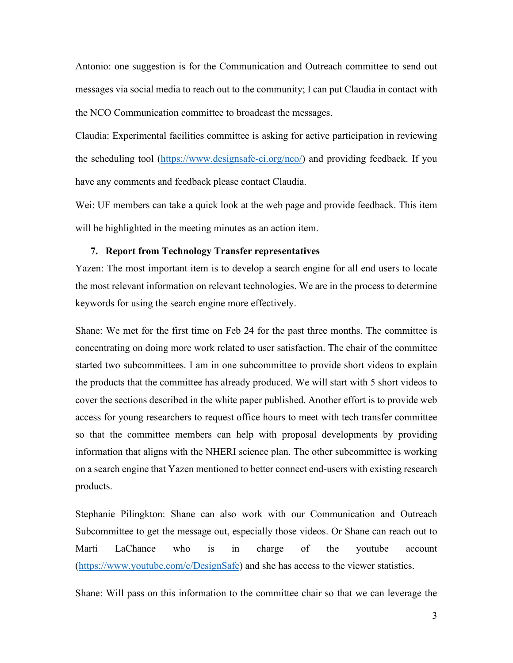Antonio: one suggestion is for the Communication and Outreach committee to send out messages via social media to reach out to the community; I can put Claudia in contact with the NCO Communication committee to broadcast the messages.

Claudia: Experimental facilities committee is asking for active participation in reviewing the scheduling tool [\(https://www.designsafe-ci.org/nco/\)](https://www.designsafe-ci.org/nco/) and providing feedback. If you have any comments and feedback please contact Claudia.

Wei: UF members can take a quick look at the web page and provide feedback. This item will be highlighted in the meeting minutes as an action item.

## **7. Report from Technology Transfer representatives**

Yazen: The most important item is to develop a search engine for all end users to locate the most relevant information on relevant technologies. We are in the process to determine keywords for using the search engine more effectively.

Shane: We met for the first time on Feb 24 for the past three months. The committee is concentrating on doing more work related to user satisfaction. The chair of the committee started two subcommittees. I am in one subcommittee to provide short videos to explain the products that the committee has already produced. We will start with 5 short videos to cover the sections described in the white paper published. Another effort is to provide web access for young researchers to request office hours to meet with tech transfer committee so that the committee members can help with proposal developments by providing information that aligns with the NHERI science plan. The other subcommittee is working on a search engine that Yazen mentioned to better connect end-users with existing research products.

Stephanie Pilingkton: Shane can also work with our Communication and Outreach Subcommittee to get the message out, especially those videos. Or Shane can reach out to Marti LaChance who is in charge of the youtube account [\(https://www.youtube.com/c/DesignSafe\)](https://www.youtube.com/c/DesignSafe) and she has access to the viewer statistics.

Shane: Will pass on this information to the committee chair so that we can leverage the